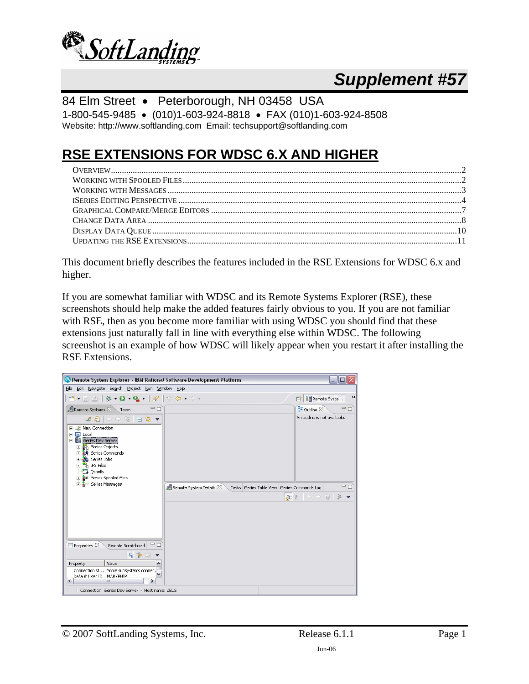

# *Supplement #57*

84 Elm Street • Peterborough, NH 03458 USA 1-800-545-9485 • (010)1-603-924-8818 • FAX (010)1-603-924-8508 Website: http://www.softlanding.com Email: techsupport@softlanding.com

## **RSE EXTENSIONS FOR WDSC 6.X AND HIGHER**

This document briefly describes the features included in the RSE Extensions for WDSC 6.x and higher.

If you are somewhat familiar with WDSC and its Remote Systems Explorer (RSE), these screenshots should help make the added features fairly obvious to you. If you are not familiar with RSE, then as you become more familiar with using WDSC you should find that these extensions just naturally fall in line with everything else within WDSC. The following screenshot is an example of how WDSC will likely appear when you restart it after installing the RSE Extensions.

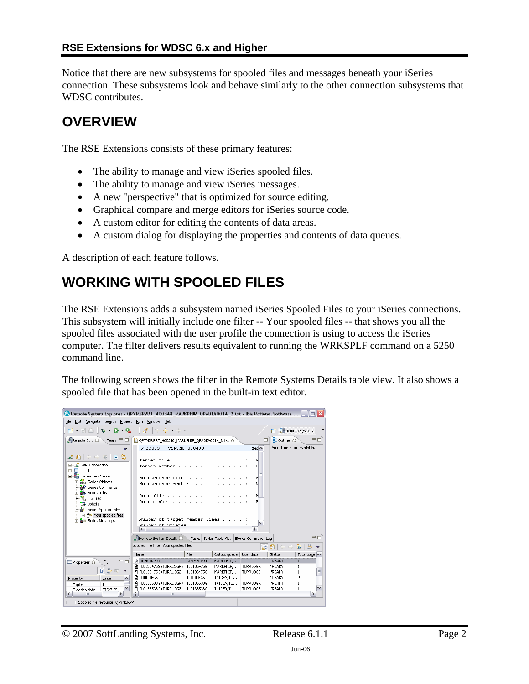<span id="page-1-0"></span>Notice that there are new subsystems for spooled files and messages beneath your iSeries connection. These subsystems look and behave similarly to the other connection subsystems that WDSC contributes.

### **OVERVIEW**

The RSE Extensions consists of these primary features:

- The ability to manage and view iSeries spooled files.
- The ability to manage and view iSeries messages.
- A new "perspective" that is optimized for source editing.
- Graphical compare and merge editors for iSeries source code.
- A custom editor for editing the contents of data areas.
- A custom dialog for displaying the properties and contents of data queues.

A description of each feature follows.

## **WORKING WITH SPOOLED FILES**

The RSE Extensions adds a subsystem named iSeries Spooled Files to your iSeries connections. This subsystem will initially include one filter -- Your spooled files -- that shows you all the spooled files associated with the user profile the connection is using to access the iSeries computer. The filter delivers results equivalent to running the WRKSPLF command on a 5250 command line.

The following screen shows the filter in the Remote Systems Details table view. It also shows a spooled file that has been opened in the built-in text editor.

| © Remote System Explorer - QPYMSRPRT_400348_MARKPHIP_QPADEV0014_2.txt - IBM Rational Software                                                                                                                                                                                                                                  |                                                                                                                 |                 |                                                     |                           |                              | IEIX                          |
|--------------------------------------------------------------------------------------------------------------------------------------------------------------------------------------------------------------------------------------------------------------------------------------------------------------------------------|-----------------------------------------------------------------------------------------------------------------|-----------------|-----------------------------------------------------|---------------------------|------------------------------|-------------------------------|
| File Edit Navigate Search Project Run Window                                                                                                                                                                                                                                                                                   | Help                                                                                                            |                 |                                                     |                           |                              |                               |
| D - 5 - 6                                                                                                                                                                                                                                                                                                                      | $\mathfrak{B}\bullet\mathbf{Q}\bullet\mathbf{Q}\bullet \mathscr{R} \oplus\mathfrak{S}\bullet\oplus\mathfrak{S}$ |                 |                                                     |                           | 畔                            | $\rightarrow$<br>Remote Syste |
| <b>偶Remote S 83</b><br>O<br>Team                                                                                                                                                                                                                                                                                               | OPYMSRPRT 400348 MARKPHIP OPADEV0014 2.txt 23                                                                   |                 |                                                     | п                         | $RE$ Outline $23$            | 中日                            |
| $\ell$ and $\Leftrightarrow$ and $\ln$ as<br>田…LL New Connection<br>由 <b>国</b> Local<br>白 ha iSeries Dev Server<br><b>Bin</b> iSeries Objects<br>$\overline{+}$<br><b>A</b> iSeries Commands<br><b>A</b> iSeries Jobs<br>Ė.<br><b>Elles</b> IFS Files<br><b>B</b> Oshells<br>白 & iSeries Spooled Files<br>+ nour spooled files | 5722WDS<br>Target file<br>Target member<br>Maintenance file<br>Maintenance member<br>Root file<br>Root member.  | V5R3M0 030430   |                                                     | Me <sub>1</sub><br>r<br>F | An outline is not available. |                               |
| <b>主 る</b> iSeries Messages                                                                                                                                                                                                                                                                                                    | Number of target member lines<br>Mumber of undates<br>$\left\langle \right\rangle$<br><b>IIII</b>               |                 |                                                     | ×<br>$\rightarrow$        |                              |                               |
|                                                                                                                                                                                                                                                                                                                                | <b>A Remote System Details 23</b>                                                                               |                 | . Tasks   iSeries Table View   iSeries Commands Log |                           |                              | $=$ $\Box$                    |
|                                                                                                                                                                                                                                                                                                                                | Spooled File Filter Your spooled files                                                                          |                 |                                                     |                           | 左の ウラ                        | 一部<br>ଢ                       |
|                                                                                                                                                                                                                                                                                                                                | Name                                                                                                            | File            | Output queue   User data                            |                           | Status                       | Total page: A                 |
| $\mathcal{P}_1$<br>$=$ 0<br>Properties &                                                                                                                                                                                                                                                                                       | OPYMSRPRT                                                                                                       | OPYMSRPRT       | MARKPHIP/                                           |                           | *READY                       | 1                             |
|                                                                                                                                                                                                                                                                                                                                | <b>■ TL0136475G (TURRLOGR)</b>                                                                                  | TL0136475G      | MARKPHIP/ TURRLOGR                                  |                           | *READY                       | $\mathbf{1}$                  |
| 日学园▼                                                                                                                                                                                                                                                                                                                           | <b>■ TL0136475G (TURRLOG2)</b>                                                                                  | TL0136475G      | MARKPHIP/                                           | TURRLOG2                  | *READY                       | $\equiv$<br>$\mathbf{1}$      |
| Value<br>Property<br>۸                                                                                                                                                                                                                                                                                                         | <b>E TURRUFGS</b>                                                                                               | <b>TURRUFGS</b> | T41DEV/TU                                           |                           | *READY                       | q                             |
| Copies<br>$\mathbf{1}$                                                                                                                                                                                                                                                                                                         | 图 TL0136538G (TURRLOGR) TL0136538G                                                                              |                 | T41DEV/TU TURRLOGR                                  |                           | *READY                       | $\mathbf{1}$<br>v             |
| Creation date<br>07/27/05<br>$\left\langle \right\rangle$<br>≯<br><b>IIII</b>                                                                                                                                                                                                                                                  | <b>■ TL0136538G (TURRLOG2)</b><br>$\left\langle \right\rangle$<br>$\mathbf{III}$                                | TL0136538G      | T41DEV/TU TURRLOG2                                  |                           | *READY                       | $\mathbf{1}$<br>$\rightarrow$ |
| Spooled file resource: QPYMSRPRT                                                                                                                                                                                                                                                                                               |                                                                                                                 |                 |                                                     |                           |                              |                               |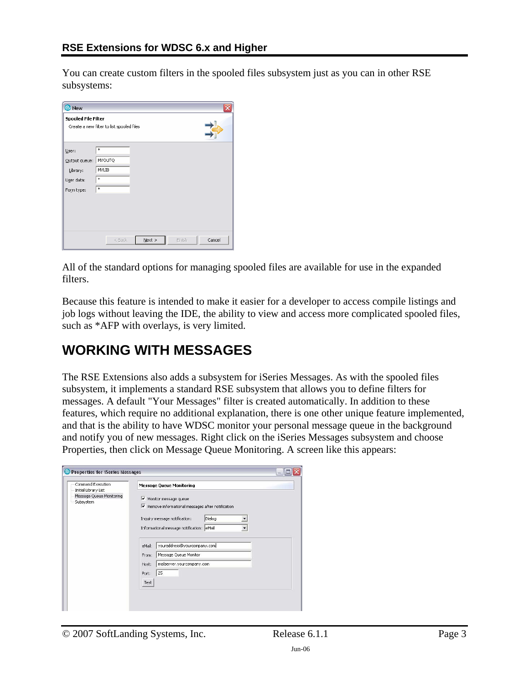<span id="page-2-0"></span>You can create custom filters in the spooled files subsystem just as you can in other RSE subsystems:

| <b>O</b> New                                                   |                                           |
|----------------------------------------------------------------|-------------------------------------------|
| <b>Spooled File Filter</b>                                     | Create a new filter to list spooled files |
| User:<br>Output queue:<br>Library:<br>User data:<br>Form type: | *<br>MYOUTQ<br><b>MYLIB</b><br>*<br>*     |
|                                                                | $N$ ext ><br>Cancel<br>< Back<br>Finish   |

All of the standard options for managing spooled files are available for use in the expanded filters.

Because this feature is intended to make it easier for a developer to access compile listings and job logs without leaving the IDE, the ability to view and access more complicated spooled files, such as \*AFP with overlays, is very limited.

### **WORKING WITH MESSAGES**

The RSE Extensions also adds a subsystem for iSeries Messages. As with the spooled files subsystem, it implements a standard RSE subsystem that allows you to define filters for messages. A default "Your Messages" filter is created automatically. In addition to these features, which require no additional explanation, there is one other unique feature implemented, and that is the ability to have WDSC monitor your personal message queue in the background and notify you of new messages. Right click on the iSeries Messages subsystem and choose Properties, then click on Message Queue Monitoring. A screen like this appears:

| Command Execution                                             | <b>Message Queue Monitoring</b>                                                                                                                                                                               |
|---------------------------------------------------------------|---------------------------------------------------------------------------------------------------------------------------------------------------------------------------------------------------------------|
| Initial Library List<br>Message Queue Monitoring<br>Subsystem | $\triangledown$ Monitor message queue<br>Remove informational messages after notification<br>Dialog<br>Inquiry message notification:<br>Informational message notification: eMail<br>$\overline{\phantom{a}}$ |
|                                                               | youraddress@yourcompany.com<br>eMail:                                                                                                                                                                         |
|                                                               | Message Queue Monitor<br>From:                                                                                                                                                                                |
|                                                               | mailserver.yourcompany.com<br>Host:                                                                                                                                                                           |
|                                                               | 25<br>Port:                                                                                                                                                                                                   |
|                                                               | Test                                                                                                                                                                                                          |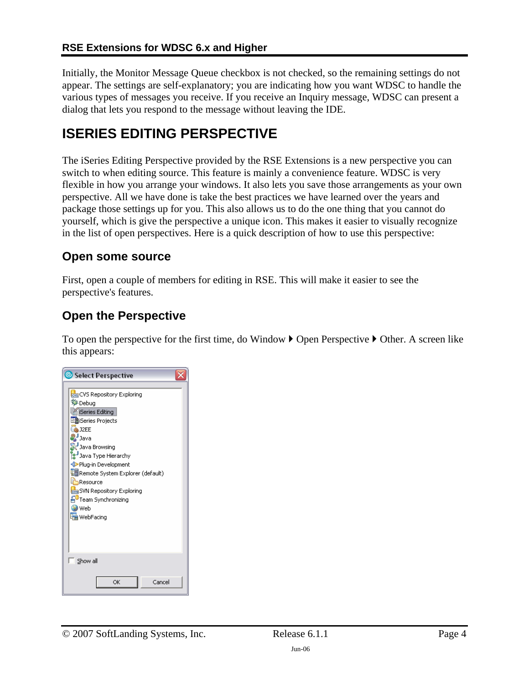<span id="page-3-0"></span>Initially, the Monitor Message Queue checkbox is not checked, so the remaining settings do not appear. The settings are self-explanatory; you are indicating how you want WDSC to handle the various types of messages you receive. If you receive an Inquiry message, WDSC can present a dialog that lets you respond to the message without leaving the IDE.

### **ISERIES EDITING PERSPECTIVE**

The iSeries Editing Perspective provided by the RSE Extensions is a new perspective you can switch to when editing source. This feature is mainly a convenience feature. WDSC is very flexible in how you arrange your windows. It also lets you save those arrangements as your own perspective. All we have done is take the best practices we have learned over the years and package those settings up for you. This also allows us to do the one thing that you cannot do yourself, which is give the perspective a unique icon. This makes it easier to visually recognize in the list of open perspectives. Here is a quick description of how to use this perspective:

### **Open some source**

First, open a couple of members for editing in RSE. This will make it easier to see the perspective's features.

### **Open the Perspective**

To open the perspective for the first time, do Window  $\blacktriangleright$  Open Perspective  $\blacktriangleright$  Other. A screen like this appears:

| Select Perspective                                                                                                                                                                                                                                                                                                                        |
|-------------------------------------------------------------------------------------------------------------------------------------------------------------------------------------------------------------------------------------------------------------------------------------------------------------------------------------------|
| cos CVS Repository Exploring<br>梦Debug<br>Series Editing<br>En iSeries Projects<br>S J2EE<br><b>M</b> Java<br>Java Browsing<br>3 Java Type Hierarchy<br>Plug-in Development<br><b>EF</b> Remote System Explorer (default)<br>Resource<br>sun SVN Repository Exploring<br><sup>같U</sup> Team Synchronizing<br><b>O</b> Web<br>Ha WebFacing |
| $\sqrt{ }$ Show all                                                                                                                                                                                                                                                                                                                       |
| OK<br>Cancel                                                                                                                                                                                                                                                                                                                              |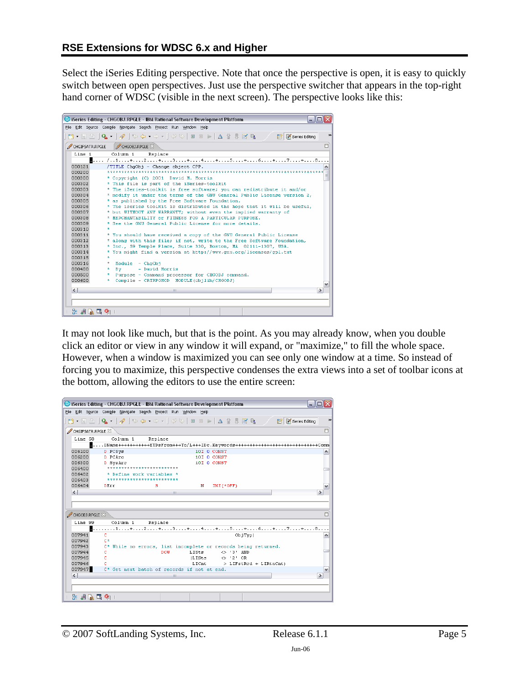Select the iSeries Editing perspective. Note that once the perspective is open, it is easy to quickly switch between open perspectives. Just use the perspective switcher that appears in the top-right hand corner of WDSC (visible in the next screen). The perspective looks like this:

|                  | Series Editing - CHGOBJ.RPGLE - IBM Rational Software Development Platform                   |               |
|------------------|----------------------------------------------------------------------------------------------|---------------|
|                  | File Edit Source Compile Navigate Search Project Run Window Help                             |               |
|                  | <b>D · H A   Q ·   タ   ← ← → · - → ·   ぐ →   ■ ■ ▶   △ ☆ 界 F R R / B B (Biseries Editing</b> | $\rightarrow$ |
| CHGIFSATR, RPGLE | CHGOBJ.RPGLE X                                                                               | 目             |
| Line 1           | Column 1<br>Replace                                                                          |               |
|                  |                                                                                              |               |
| 000121           | /TITLE ChgObj - Change object CPP.                                                           |               |
| 000200           |                                                                                              |               |
| 000300           | * Copyright (C) 2001 David M. Morris                                                         |               |
| 000302           | * This file is part of the iSeries-toolkit                                                   |               |
| 000303           | * The iSeries-toolkit is free software; you can redistribute it and/or                       |               |
| 000304           | * modify it under the terms of the GNU General Public License version 2,                     |               |
| 000305           | * as published by the Free Software Foundation.                                              |               |
| 000306           | * The iseries toolkit is distributed in the hope that it will be useful,                     |               |
| 000307           | * but WITHOUT ANY WARRANTY; without even the implied warranty of                             |               |
| 000308           | * MERCHANTABILITY or FITNESS FOR A PARTICULAR PURPOSE.                                       |               |
| 000309           | * See the GNU General Public License for more details.                                       |               |
| 000310           |                                                                                              |               |
| 000311           | * You should have received a copy of the GNU General Public License                          |               |
| 000312           | * along with this file; if not, write to the Free Software Foundation,                       |               |
| 000313           | * Inc., 59 Temple Place, Suite 330, Boston, MA 02111-1307, USA.                              |               |
| 000314           | * You might find a version at http://www.gnu.org/licenses/gpl.txt                            |               |
| 000315           | $\star$                                                                                      |               |
| 000316           | Module - ChaObi<br>÷.                                                                        |               |
| 000400           | Bv<br>- David Morris<br>÷.                                                                   |               |
| 000500           | * Purpose - Command processor for CHGOBJ command.                                            |               |
| 000600           | * Compile - CRTRPGMOD MODULE (objlib/CHGOBJ)                                                 |               |
| $\left  \right $ | $\rightarrow$<br>Ш                                                                           |               |
|                  |                                                                                              |               |
|                  |                                                                                              |               |
|                  | 25.95.04.05.04.1                                                                             |               |

It may not look like much, but that is the point. As you may already know, when you double click an editor or view in any window it will expand, or "maximize," to fill the whole space. However, when a window is maximized you can see only one window at a time. So instead of forcing you to maximize, this perspective condenses the extra views into a set of toolbar icons at the bottom, allowing the editors to use the entire screen:

|                        | C iSeries Editing - CHGOBJ.RPGLE - IBM Rational Software Development Platform<br>- 101                                                                                                                                                                                                                                                              |               |
|------------------------|-----------------------------------------------------------------------------------------------------------------------------------------------------------------------------------------------------------------------------------------------------------------------------------------------------------------------------------------------------|---------------|
|                        | File Edit Source Compile Navigate Search Project Run Window Help                                                                                                                                                                                                                                                                                    |               |
|                        | $\begin{picture}(150,10) \put(0,0){\line(1,0){10}} \put(15,0){\line(1,0){10}} \put(15,0){\line(1,0){10}} \put(15,0){\line(1,0){10}} \put(15,0){\line(1,0){10}} \put(15,0){\line(1,0){10}} \put(15,0){\line(1,0){10}} \put(15,0){\line(1,0){10}} \put(15,0){\line(1,0){10}} \put(15,0){\line(1,0){10}} \put(15,0){\line(1,0){10}} \put(15,0){\line($ | $\rightarrow$ |
| CHGIFSATR, RPGLE 23    |                                                                                                                                                                                                                                                                                                                                                     | O             |
| Line 58                | Replace<br>Column 1                                                                                                                                                                                                                                                                                                                                 |               |
|                        | $\blacksquare$ DName+++++++++++ETDsFrom+++To/L+++IDc.Kevwords++++++++++++++++++++++++++++++Comm                                                                                                                                                                                                                                                     |               |
| 006100                 | 10I 0 CONST<br>D PCSvs                                                                                                                                                                                                                                                                                                                              |               |
| 006200                 | D. PCArc<br>10I 0 CONST                                                                                                                                                                                                                                                                                                                             |               |
| 006300                 | 10I 0 CONST<br><b>D</b> SvsArc                                                                                                                                                                                                                                                                                                                      |               |
| 006400                 | *************************                                                                                                                                                                                                                                                                                                                           |               |
| 006402                 | * Define work variables *                                                                                                                                                                                                                                                                                                                           |               |
| 006403                 | *************************                                                                                                                                                                                                                                                                                                                           |               |
| 006404                 | $INZ$ (*OFF)<br>DErr<br>s.<br>N                                                                                                                                                                                                                                                                                                                     |               |
| $\left  \cdot \right $ | 100                                                                                                                                                                                                                                                                                                                                                 | $\rightarrow$ |
|                        |                                                                                                                                                                                                                                                                                                                                                     |               |
|                        |                                                                                                                                                                                                                                                                                                                                                     |               |
| CHGOBJ.RPGLE X         |                                                                                                                                                                                                                                                                                                                                                     | Е             |
| Line 99                | Column <sub>1</sub><br>Replace                                                                                                                                                                                                                                                                                                                      |               |
|                        |                                                                                                                                                                                                                                                                                                                                                     |               |
| 007941                 | $\mathcal{C}$<br>ObiTvp)                                                                                                                                                                                                                                                                                                                            | ۸             |
| 007942                 | $C^*$                                                                                                                                                                                                                                                                                                                                               |               |
| 007943                 | C* While no errors, list incomplete or records being returned.                                                                                                                                                                                                                                                                                      |               |
| 007944                 | DOM<br>LISts<br>$\leftrightarrow$ '3' AND<br>C                                                                                                                                                                                                                                                                                                      |               |
| 007945                 | C<br>$(L15ts \Leftrightarrow '2' OR$                                                                                                                                                                                                                                                                                                                |               |
| 007946                 | c<br>LICnt<br>> LIFstRcd + LIRtnCnt)                                                                                                                                                                                                                                                                                                                |               |
| 007947                 | C* Get next batch of records if not at end.                                                                                                                                                                                                                                                                                                         | $\checkmark$  |
| $\left  \right $       | Ш                                                                                                                                                                                                                                                                                                                                                   | $\rightarrow$ |
|                        |                                                                                                                                                                                                                                                                                                                                                     |               |
|                        |                                                                                                                                                                                                                                                                                                                                                     |               |
| 2: 週的尾侧                |                                                                                                                                                                                                                                                                                                                                                     |               |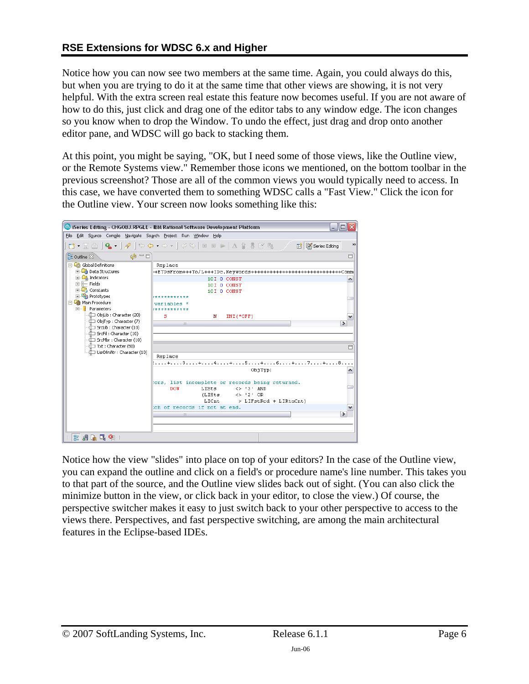#### **RSE Extensions for WDSC 6.x and Higher**

Notice how you can now see two members at the same time. Again, you could always do this, but when you are trying to do it at the same time that other views are showing, it is not very helpful. With the extra screen real estate this feature now becomes useful. If you are not aware of how to do this, just click and drag one of the editor tabs to any window edge. The icon changes so you know when to drop the Window. To undo the effect, just drag and drop onto another editor pane, and WDSC will go back to stacking them.

At this point, you might be saying, "OK, but I need some of those views, like the Outline view, or the Remote Systems view." Remember those icons we mentioned, on the bottom toolbar in the previous screenshot? Those are all of the common views you would typically need to access. In this case, we have converted them to something WDSC calls a "Fast View." Click the icon for the Outline view. Your screen now looks something like this:

|                                                                  | Series Editing - CHGOBJ.RPGLE - IBM Rational Software Development Platform<br>- 10                |               |
|------------------------------------------------------------------|---------------------------------------------------------------------------------------------------|---------------|
| File Edit Source Compile Navigate Search Project Run Window Help |                                                                                                   |               |
|                                                                  | <b>D · R △   Q ·   √   ↔ ↔ - ↔ -   ♡ ↔   □ □ ▷   △ 상 界 B 中   /</b><br><b>ET G</b> iSeries Editing | $\rightarrow$ |
| $\circledcirc$ $\Box$<br>RE Outline 23                           |                                                                                                   | 目             |
| ⊟ Global Definitions                                             | Replace                                                                                           |               |
| <b>En Data Structures</b>                                        | -+ETDsFrom+++To/L+++IDc.Keywords+++++++++++++++++++++++++++++Comm                                 |               |
| <b>E La</b> Indicators                                           | 10I 0 CONST                                                                                       | ۸             |
| 白干 Fields<br><b>E</b> Constants                                  | 10I 0 CONST                                                                                       |               |
| <b>E U<sub>R</sub></b> Prototypes                                | 10I 0 CONST<br>************                                                                       |               |
| ने प्रिक्के Main Procedure                                       | variables *                                                                                       |               |
| 白 <b>i</b> Parameters                                            | ************                                                                                      |               |
| └└──□ ObiLib : Character (20)                                    | s<br>$INZ$ ( $*OFF$ )<br>N                                                                        | v             |
|                                                                  | $\rightarrow$<br>III.                                                                             |               |
| -{III SrcLib : Character (10)                                    |                                                                                                   |               |
| ---—{ SrcFil : Character (10)<br>---Œ SrcMbr : Character (10)    |                                                                                                   |               |
| $-\sqrt{ }$ Txt : Character (50)                                 |                                                                                                   |               |
| UsrDfnAtr : Character (10)                                       |                                                                                                   | 目             |
|                                                                  | Replace                                                                                           |               |
|                                                                  | :+3+4+5+6+7+8                                                                                     |               |
|                                                                  | ObjTyp)                                                                                           | ∧             |
|                                                                  | ors, list incomplete or records being returned.                                                   |               |
|                                                                  | <b>DOW</b><br>LISts<br><> '3' AND                                                                 |               |
|                                                                  | $(L1Sts \leftrightarrow '2' OR$                                                                   |               |
|                                                                  | $LICnt$ > $LIFstRed + LIRtnCnt)$                                                                  |               |
|                                                                  | ch of records if not at end.                                                                      | v             |
|                                                                  | $\rightarrow$<br>Ш                                                                                |               |
|                                                                  |                                                                                                   |               |
|                                                                  |                                                                                                   |               |
| 出版社 (1)                                                          |                                                                                                   |               |

Notice how the view "slides" into place on top of your editors? In the case of the Outline view, you can expand the outline and click on a field's or procedure name's line number. This takes you to that part of the source, and the Outline view slides back out of sight. (You can also click the minimize button in the view, or click back in your editor, to close the view.) Of course, the perspective switcher makes it easy to just switch back to your other perspective to access to the views there. Perspectives, and fast perspective switching, are among the main architectural features in the Eclipse-based IDEs.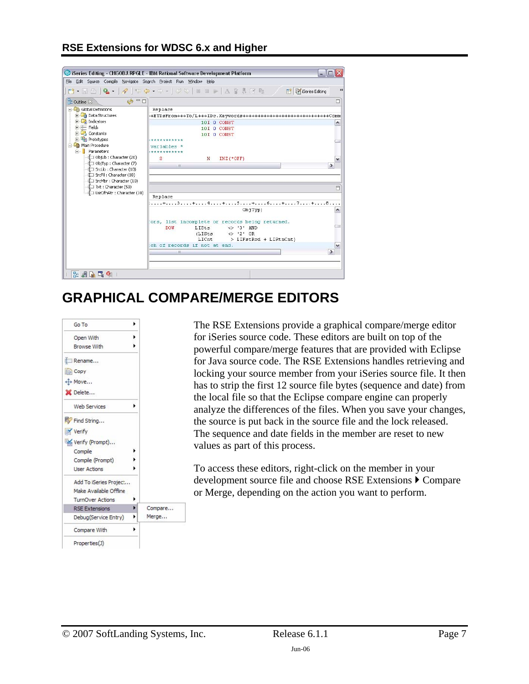#### <span id="page-6-0"></span>**RSE Extensions for WDSC 6.x and Higher**



# **GRAPHICAL COMPARE/MERGE EDITORS**



The RSE Extensions provide a graphical compare/merge editor for iSeries source code. These editors are built on top of the powerful compare/merge features that are provided with Eclipse for Java source code. The RSE Extensions handles retrieving and locking your source member from your iSeries source file. It then has to strip the first 12 source file bytes (sequence and date) from the local file so that the Eclipse compare engine can properly analyze the differences of the files. When you save your changes, the source is put back in the source file and the lock released. The sequence and date fields in the member are reset to new values as part of this process.

To access these editors, right-click on the member in your development source file and choose RSE Extensions  $\triangleright$  Compare or Merge, depending on the action you want to perform.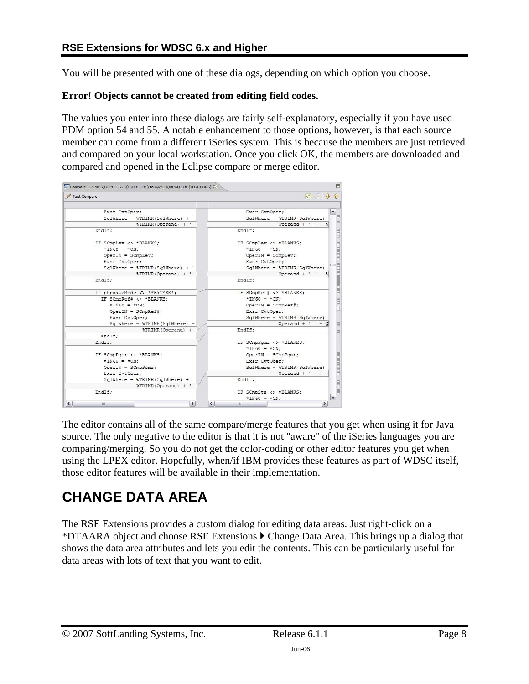<span id="page-7-0"></span>You will be presented with one of these dialogs, depending on which option you choose.

#### **Error! Objects cannot be created from editing field codes.**

The values you enter into these dialogs are fairly self-explanatory, especially if you have used PDM option 54 and 55. A notable enhancement to those options, however, is that each source member can come from a different iSeries system. This is because the members are just retrieved and compared on your local workstation. Once you click OK, the members are downloaded and compared and opened in the Eclipse compare or merge editor.

| Text Compare                                       | <b>아 이 유</b>                                     |
|----------------------------------------------------|--------------------------------------------------|
|                                                    |                                                  |
| Exsr CvtOper;                                      | Exsr CvtOper;                                    |
| $S\alpha$ lWhere = \\\testTRIMR(SqlWhere) + '      | $Sq$ lWhere = $\S$ TRIMR(SqlWhere)               |
| %TRIMR(Operand) + '                                | Operand + $'$ $'$ + $\frac{1}{3}$                |
| EndIf:                                             | EndIf:                                           |
| IF SCmpLev <> *BLANKS;                             | IF SCmpLev <> *BLANKS;                           |
| $*ING0 = *ON$                                      | $*$ IN60 = $*$ ON:                               |
| $OperIN = SCmDLev;$                                | $OperIN = SCmDLev$ ;                             |
| Exsr CvtOper:                                      | Exsr CvtOper:                                    |
| $Sq$ lWhere = \\\testTRIMR(SqlWhere) + '           | $Sq$ lWhere = $TRIMR(Sq)$ Where)                 |
| %TRIMR(Operand) + '                                | Operand + $!$ $!$ $+$ \$                         |
| EndIf;                                             | EndIf;                                           |
| If pUpdateMode <> '*BYTASK';                       | IF SCmpRef# $\langle \rangle$ *BLANKS;           |
| IF SCmpRef# <> *BLANKS;                            | $*$ IN60 = $*$ ON;                               |
| $*INGO = *ON$ :                                    | $OperIN = SCmDRef$ #;                            |
| $Operator = SCmpRef$ ;                             | Exsr CvtOper;                                    |
| Exsr CvtOper;                                      | $SglWhere = $TRIMR(SglWhere)$                    |
| $S\alpha$ lWhere = $\S$ TRIMR(S $\alpha$ lWhere) + | Operand $+$ ' ' + C                              |
| %TRIMR(Operand) +                                  | EndIf:                                           |
| EndIf:                                             |                                                  |
| Endif;                                             | IF SCmpPomr <> *BLANKS;                          |
|                                                    | $*$ IN60 = $*$ ON;                               |
| IF SCmpPgmr <> *BLANKS;                            | $Operator = SCmpPqmr;$                           |
| $*INGO = *ON$ :                                    | Exsr CvtOper;                                    |
| $OperIN = SCmpPomr$ :                              | $S\alpha$ lWhere = $\S$ TRIMR(S $\alpha$ lWhere) |
| Exsr CvtOper:                                      | Operand $+$ ' ' +                                |
| $Sq$ lWhere = $\frac{1}{2}TRIMR(Sq)$ lWhere + '    | EndIf:                                           |
| %TRIMR(Operand) + '                                |                                                  |
| EndIf:                                             | IF SCmpSts <> *BLANKS;                           |
|                                                    | $*$ IN60 = $*$ ON:                               |

The editor contains all of the same compare/merge features that you get when using it for Java source. The only negative to the editor is that it is not "aware" of the iSeries languages you are comparing/merging. So you do not get the color-coding or other editor features you get when using the LPEX editor. Hopefully, when/if IBM provides these features as part of WDSC itself, those editor features will be available in their implementation.

## **CHANGE DATA AREA**

The RSE Extensions provides a custom dialog for editing data areas. Just right-click on a \*DTAARA object and choose RSE Extensions  $\blacktriangleright$  Change Data Area. This brings up a dialog that shows the data area attributes and lets you edit the contents. This can be particularly useful for data areas with lots of text that you want to edit.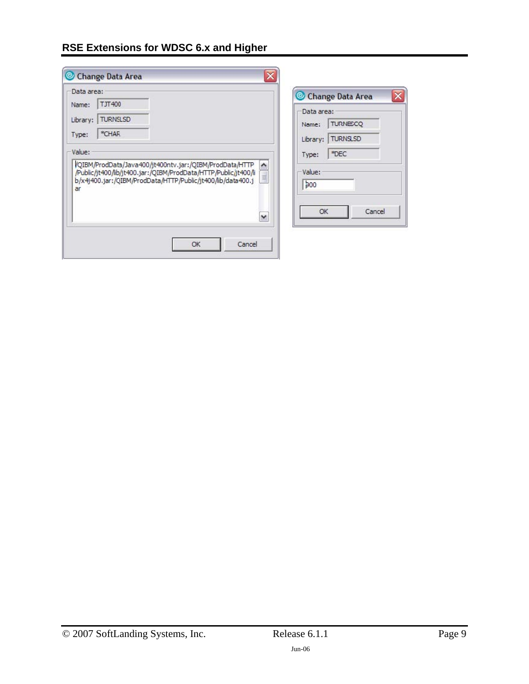### **RSE Extensions for WDSC 6.x and Higher**

|                                                                                                                                                                                                                                | Change Data Area                                                      |
|--------------------------------------------------------------------------------------------------------------------------------------------------------------------------------------------------------------------------------|-----------------------------------------------------------------------|
| <b>TJT400</b><br>Name:<br><b>TURNSLSD</b><br>Library:<br>*CHAR<br>Type:                                                                                                                                                        | Data area:<br><b>TURNESCO</b><br>Name:<br><b>TURNSLSD</b><br>Library: |
| Value:<br>VQIBM/ProdData/Java400/jt400ntv.jar:/QIBM/ProdData/HTTP<br>ㅅ<br>/Public/jt400/lib/jt400.jar:/QIBM/ProdData/HTTP/Public/jt400/li<br>b/x4j400.jar:/QIBM/ProdData/HTTP/Public/jt400/lib/data400.j<br>ar<br>$\checkmark$ | *DEC<br>Type:<br>Value:<br>b00<br>Cancel<br>OK                        |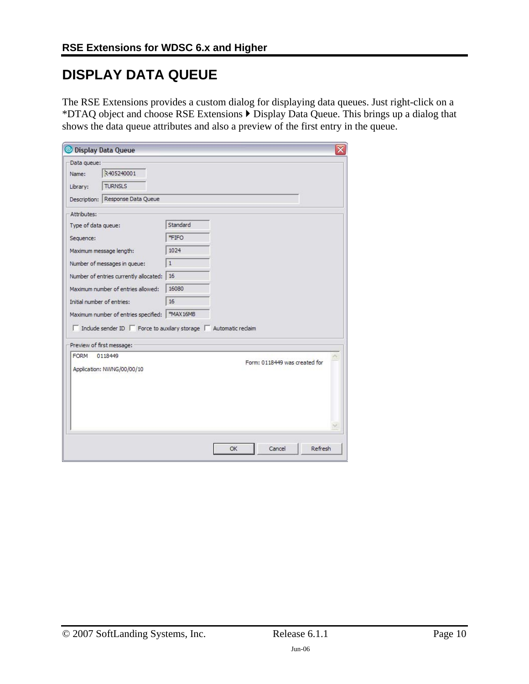# <span id="page-9-0"></span>**DISPLAY DATA QUEUE**

The RSE Extensions provides a custom dialog for displaying data queues. Just right-click on a \*DTAQ object and choose RSE Extensions  $\blacktriangleright$  Display Data Queue. This brings up a dialog that shows the data queue attributes and also a preview of the first entry in the queue.

| Data queue:                                                                        |              |                               |
|------------------------------------------------------------------------------------|--------------|-------------------------------|
| 2405240001<br>Name:                                                                |              |                               |
| <b>TURNSLS</b><br>Library:                                                         |              |                               |
| Description: Response Data Queue                                                   |              |                               |
| Attributes:                                                                        |              |                               |
| Type of data queue:                                                                | Standard     |                               |
| Sequence:                                                                          | *FIFO        |                               |
| Maximum message length:                                                            | 1024         |                               |
| Number of messages in queue:                                                       | $\mathbf{1}$ |                               |
| Number of entries currently allocated:                                             | 16           |                               |
| Maximum number of entries allowed:                                                 | 16080        |                               |
| Initial number of entries:                                                         | 16           |                               |
| Maximum number of entries specified:   *MAX16MB                                    |              |                               |
| $\Box$ Include sender ID $\Box$ Force to auxilary storage $\Box$ Automatic reclaim |              |                               |
|                                                                                    |              |                               |
|                                                                                    |              |                               |
| Preview of first message:<br><b>FORM</b><br>0118449                                |              |                               |
| Application: NWNG/00/00/10                                                         |              | Form: 0118449 was created for |
|                                                                                    |              |                               |
|                                                                                    |              |                               |
|                                                                                    |              |                               |
|                                                                                    |              |                               |
|                                                                                    |              |                               |